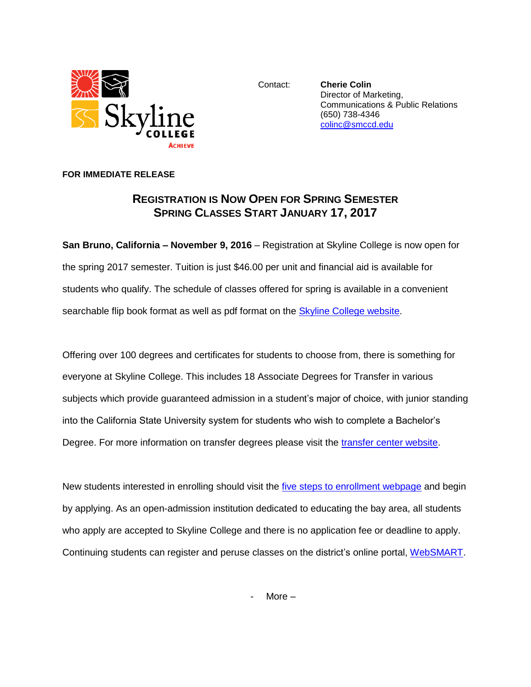

Contact: **Cherie Colin** Director of Marketing, Communications & Public Relations (650) 738-4346 [colinc@smccd.edu](mailto:colinc@smccd.edu)

## **FOR IMMEDIATE RELEASE**

## **REGISTRATION IS NOW OPEN FOR SPRING SEMESTER SPRING CLASSES START JANUARY 17, 2017**

**San Bruno, California – November 9, 2016** – Registration at Skyline College is now open for the spring 2017 semester. Tuition is just \$46.00 per unit and financial aid is available for students who qualify. The schedule of classes offered for spring is available in a convenient searchable flip book format as well as pdf format on the [Skyline College website.](http://www.skylinecollege.edu/catalogschedule/)

Offering over 100 degrees and certificates for students to choose from, there is something for everyone at Skyline College. This includes 18 Associate Degrees for Transfer in various subjects which provide guaranteed admission in a student's major of choice, with junior standing into the California State University system for students who wish to complete a Bachelor's Degree. For more information on transfer degrees please visit the [transfer center website.](http://www.skylinecollege.edu/transfercenter/transferdegrees.php)

New students interested in enrolling should visit the *five steps to enrollment webpage* and begin by applying. As an open-admission institution dedicated to educating the bay area, all students who apply are accepted to Skyline College and there is no application fee or deadline to apply. Continuing students can register and peruse classes on the district's online portal, [WebSMART.](https://websmart.smccd.edu/)

More  $-$